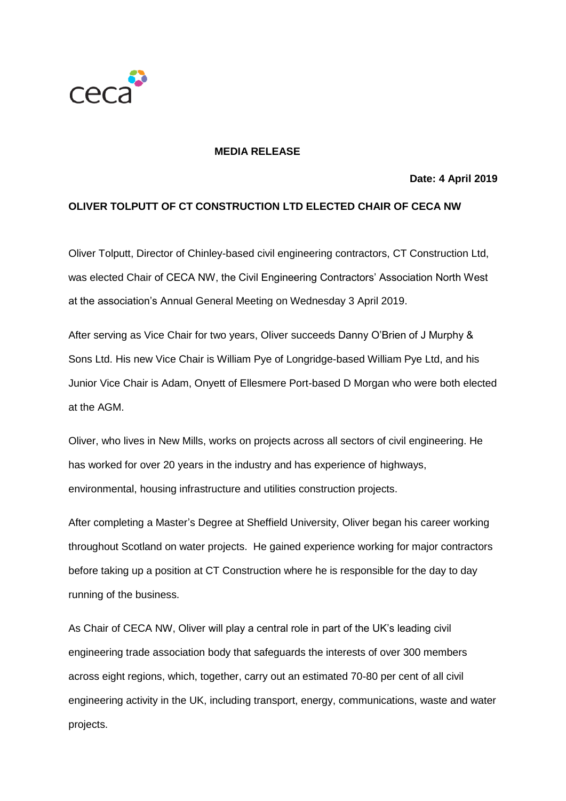

## **MEDIA RELEASE**

## **Date: 4 April 2019**

## **OLIVER TOLPUTT OF CT CONSTRUCTION LTD ELECTED CHAIR OF CECA NW**

Oliver Tolputt, Director of Chinley-based civil engineering contractors, CT Construction Ltd, was elected Chair of CECA NW, the Civil Engineering Contractors' Association North West at the association's Annual General Meeting on Wednesday 3 April 2019.

After serving as Vice Chair for two years, Oliver succeeds Danny O'Brien of J Murphy & Sons Ltd. His new Vice Chair is William Pye of Longridge-based William Pye Ltd, and his Junior Vice Chair is Adam, Onyett of Ellesmere Port-based D Morgan who were both elected at the AGM.

Oliver, who lives in New Mills, works on projects across all sectors of civil engineering. He has worked for over 20 years in the industry and has experience of highways, environmental, housing infrastructure and utilities construction projects.

After completing a Master's Degree at Sheffield University, Oliver began his career working throughout Scotland on water projects. He gained experience working for major contractors before taking up a position at CT Construction where he is responsible for the day to day running of the business.

As Chair of CECA NW, Oliver will play a central role in part of the UK's leading civil engineering trade association body that safeguards the interests of over 300 members across eight regions, which, together, carry out an estimated 70-80 per cent of all civil engineering activity in the UK, including transport, energy, communications, waste and water projects.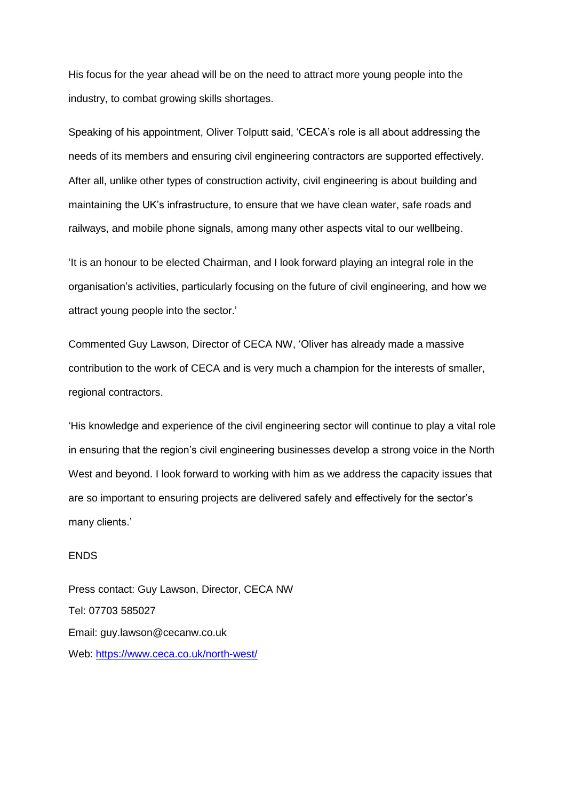His focus for the year ahead will be on the need to attract more young people into the industry, to combat growing skills shortages.

Speaking of his appointment, Oliver Tolputt said, 'CECA's role is all about addressing the needs of its members and ensuring civil engineering contractors are supported effectively. After all, unlike other types of construction activity, civil engineering is about building and maintaining the UK's infrastructure, to ensure that we have clean water, safe roads and railways, and mobile phone signals, among many other aspects vital to our wellbeing.

'It is an honour to be elected Chairman, and I look forward playing an integral role in the organisation's activities, particularly focusing on the future of civil engineering, and how we attract young people into the sector.'

Commented Guy Lawson, Director of CECA NW, 'Oliver has already made a massive contribution to the work of CECA and is very much a champion for the interests of smaller, regional contractors.

'His knowledge and experience of the civil engineering sector will continue to play a vital role in ensuring that the region's civil engineering businesses develop a strong voice in the North West and beyond. I look forward to working with him as we address the capacity issues that are so important to ensuring projects are delivered safely and effectively for the sector's many clients.'

## ENDS

Press contact: Guy Lawson, Director, CECA NW Tel: 07703 585027 Email: guy.lawson@cecanw.co.uk Web:<https://www.ceca.co.uk/north-west/>